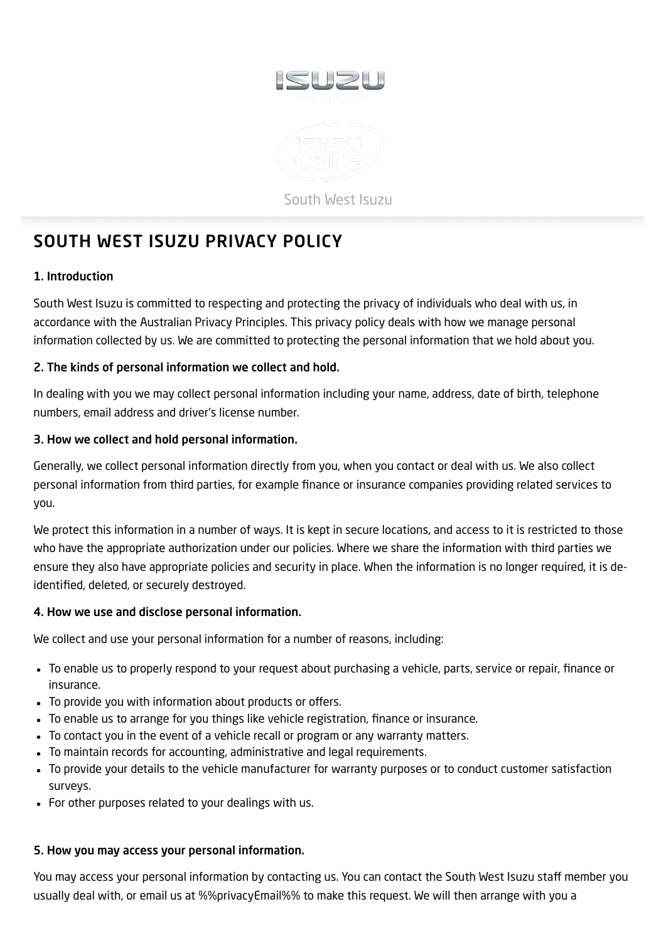

# <span id="page-0-0"></span>SOUTH WEST ISUZU PRIVACY POLICY

# 1. Introduction

South West Isuzu is committed to respecting and protecting the privacy of individuals who deal with us, in accordance with the Australian Privacy Principles. This privacy policy deals with how we manage personal information collected by us. We are committed to protecting the personal information that we hold about you.

# 2. The kinds of personal information we collect and hold.

In dealing with you we may collect personal information including your name, address, date of birth, telephone numbers, email address and driver's license number.

# 3. How we collect and hold personal information.

Generally, we collect personal information directly from you, when you contact or deal with us. We also collect personal information from third parties, for example finance or insurance companies providing related services to you.

We protect this information in a number of ways. It is kept in secure locations, and access to it is restricted to those who have the appropriate authorization under our policies. Where we share the information with third parties we ensure they also have appropriate policies and security in place. When the information is no longer required, it is deidentified, deleted, or securely destroyed.

# 4. How we use and disclose personal information.

We collect and use your personal information for a number of reasons, including:

- To enable us to properly respond to your request about purchasing a vehicle, parts, service or repair, finance or insurance.
- To provide you with information about products or offers.
- To enable us to arrange for you things like vehicle registration, finance or insurance.
- To contact you in the event of a vehicle recall or program or any warranty matters.
- To maintain records for accounting, administrative and legal requirements.
- To provide your details to the vehicle manufacturer for warranty purposes or to conduct customer satisfaction surveys.
- For other purposes related to your dealings with us.

# 5. How you may access your personal information.

You may access your personal information by contacting us. You can contact the South West Isuzu staff member you usually deal with, or email us at %%privacyEmail%% to make this request. We will then arrange with you a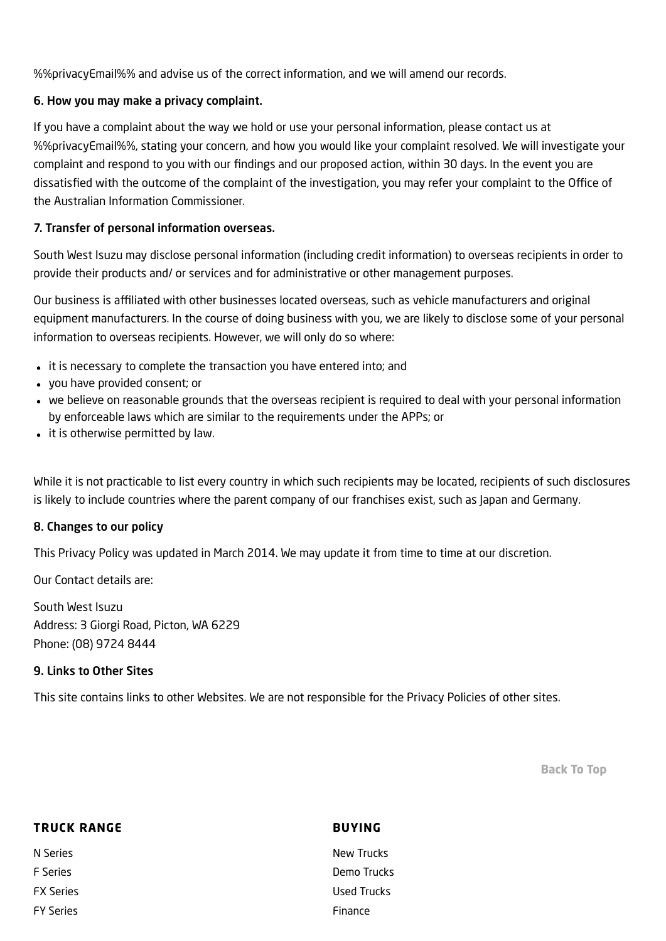%%privacyEmail%% and advise us of the correct information, and we will amend our records.

## 6. How you may make a privacy complaint.

If you have a complaint about the way we hold or use your personal information, please contact us at %%privacyEmail%%, stating your concern, and how you would like your complaint resolved. We will investigate your complaint and respond to you with our findings and our proposed action, within 30 days. In the event you are dissatisfied with the outcome of the complaint of the investigation, you may refer your complaint to the Office of the Australian Information Commissioner.

## 7. Transfer of personal information overseas.

South West Isuzu may disclose personal information (including credit information) to overseas recipients in order to provide their products and/ or services and for administrative or other management purposes.

Our business is affiliated with other businesses located overseas, such as vehicle manufacturers and original equipment manufacturers. In the course of doing business with you, we are likely to disclose some of your personal information to overseas recipients. However, we will only do so where:

- it is necessary to complete the transaction you have entered into; and
- you have provided consent; or
- we believe on reasonable grounds that the overseas recipient is required to deal with your personal information by enforceable laws which are similar to the requirements under the APPs; or
- it is otherwise permitted by law.

While it is not practicable to list every country in which such recipients may be located, recipients of such disclosures is likely to include countries where the parent company of our franchises exist, such as Japan and Germany.

## 8. Changes to our policy

This Privacy Policy was updated in March 2014. We may update it from time to time at our discretion.

Our Contact details are:

South West Isuzu Address: 3 Giorgi Road, Picton, WA 6229 Phone: (08) 9724 8444

## 9. Links to Other Sites

This site contains links to other Websites. We are not responsible for the Privacy Policies of other sites.

[Back](#page-0-0) To Top

| <b>TRUCK RANGE</b> | <b>BUYING</b> |
|--------------------|---------------|
| N Series           | New Trucks    |
| <b>F</b> Series    | Demo Trucks   |
| <b>FX Series</b>   | Used Trucks   |
| <b>FY Series</b>   | Finance       |
|                    |               |